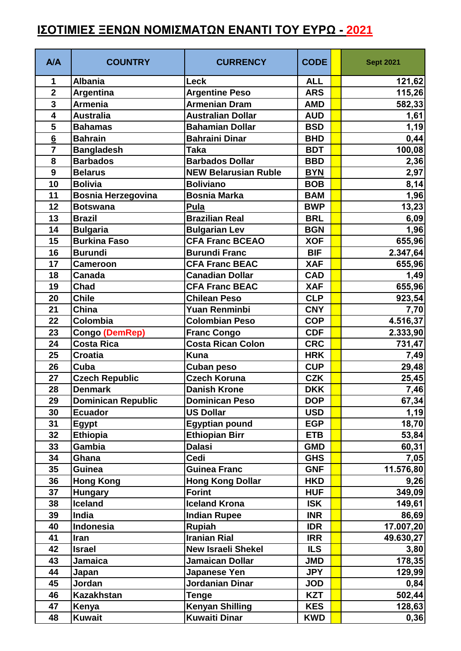## **ΙΣΟΤΙΜΙΕΣ ΞΕΝΩΝ ΝΟΜΙΣΜΑΤΩΝ ΕΝΑΝΤΙ ΤΟΥ ΕΥΡΩ - 2021**

| A/A                     | <b>COUNTRY</b>            | <b>CURRENCY</b>             | <b>CODE</b> | <b>Sept 2021</b> |
|-------------------------|---------------------------|-----------------------------|-------------|------------------|
| 1                       | <b>Albania</b>            | Leck                        | <b>ALL</b>  | 121,62           |
| $\overline{\mathbf{2}}$ | Argentina                 | <b>Argentine Peso</b>       | <b>ARS</b>  | 115,26           |
| $\mathbf{3}$            | <b>Armenia</b>            | <b>Armenian Dram</b>        | <b>AMD</b>  | 582,33           |
| $\overline{\mathbf{4}}$ | <b>Australia</b>          | <b>Australian Dollar</b>    | <b>AUD</b>  | 1,61             |
| 5                       | <b>Bahamas</b>            | <b>Bahamian Dollar</b>      | <b>BSD</b>  | 1,19             |
| $6\phantom{1}6$         | <b>Bahrain</b>            | <b>Bahraini Dinar</b>       | <b>BHD</b>  | 0,44             |
| $\overline{7}$          | <b>Bangladesh</b>         | <b>Taka</b>                 | <b>BDT</b>  | 100,08           |
| 8                       | <b>Barbados</b>           | <b>Barbados Dollar</b>      | <b>BBD</b>  | 2,36             |
| 9                       | <b>Belarus</b>            | <b>NEW Belarusian Ruble</b> | <b>BYN</b>  | 2,97             |
| 10                      | <b>Bolivia</b>            | <b>Boliviano</b>            | <b>BOB</b>  | 8,14             |
| 11                      | <b>Bosnia Herzegovina</b> | <b>Bosnia Marka</b>         | <b>BAM</b>  | 1,96             |
| 12                      | <b>Botswana</b>           | <b>Pula</b>                 | <b>BWP</b>  | 13,23            |
| 13                      | <b>Brazil</b>             | <b>Brazilian Real</b>       | <b>BRL</b>  | 6,09             |
| 14                      | <b>Bulgaria</b>           | <b>Bulgarian Lev</b>        | <b>BGN</b>  | 1,96             |
| 15                      | <b>Burkina Faso</b>       | <b>CFA Franc BCEAO</b>      | <b>XOF</b>  | 655,96           |
| 16                      | <b>Burundi</b>            | <b>Burundi Franc</b>        | <b>BIF</b>  | 2.347,64         |
| 17                      | <b>Cameroon</b>           | <b>CFA Franc BEAC</b>       | <b>XAF</b>  | 655,96           |
| 18                      | Canada                    | <b>Canadian Dollar</b>      | <b>CAD</b>  | 1,49             |
| 19                      | Chad                      | <b>CFA Franc BEAC</b>       | <b>XAF</b>  | 655,96           |
| 20                      | <b>Chile</b>              | <b>Chilean Peso</b>         | <b>CLP</b>  | 923,54           |
| 21                      | China                     | <b>Yuan Renminbi</b>        | <b>CNY</b>  | 7,70             |
| 22                      | Colombia                  | Colombian Peso              | <b>COP</b>  | 4.516,37         |
| 23                      | <b>Congo (DemRep)</b>     | <b>Franc Congo</b>          | <b>CDF</b>  | 2.333,90         |
| 24                      | <b>Costa Rica</b>         | <b>Costa Rican Colon</b>    | <b>CRC</b>  | 731,47           |
| 25                      | <b>Croatia</b>            | <b>Kuna</b>                 | <b>HRK</b>  | 7,49             |
| 26                      | Cuba                      | <b>Cuban peso</b>           | <b>CUP</b>  | 29,48            |
| 27                      | <b>Czech Republic</b>     | <b>Czech Koruna</b>         | <b>CZK</b>  | 25,45            |
| 28                      | <b>Denmark</b>            | <b>Danish Krone</b>         | <b>DKK</b>  | 7,46             |
| 29                      | <b>Dominican Republic</b> | <b>Dominican Peso</b>       | <b>DOP</b>  | 67,34            |
| 30                      | <b>Ecuador</b>            | <b>US Dollar</b>            | <b>USD</b>  | 1,19             |
| 31                      | <b>Egypt</b>              | <b>Egyptian pound</b>       | <b>EGP</b>  | 18,70            |
| 32                      | <b>Ethiopia</b>           | <b>Ethiopian Birr</b>       | <b>ETB</b>  | 53,84            |
| 33                      | Gambia                    | <b>Dalasi</b>               | <b>GMD</b>  | 60,31            |
| 34                      | Ghana                     | Cedi                        | <b>GHS</b>  | 7,05             |
| 35                      | Guinea                    | <b>Guinea Franc</b>         | <b>GNF</b>  | 11.576,80        |
| 36                      | <b>Hong Kong</b>          | <b>Hong Kong Dollar</b>     | <b>HKD</b>  | 9,26             |
| 37                      | <b>Hungary</b>            | <b>Forint</b>               | <b>HUF</b>  | 349,09           |
| 38                      | <b>Iceland</b>            | <b>Iceland Krona</b>        | <b>ISK</b>  | 149,61           |
| 39                      | India                     | <b>Indian Rupee</b>         | <b>INR</b>  | 86,69            |
| 40                      | Indonesia                 | <b>Rupiah</b>               | <b>IDR</b>  | 17.007,20        |
| 41                      | Iran                      | <b>Iranian Rial</b>         | <b>IRR</b>  | 49.630,27        |
| 42                      | <b>Israel</b>             | <b>New Israeli Shekel</b>   | <b>ILS</b>  | 3,80             |
| 43                      | Jamaica                   | <b>Jamaican Dollar</b>      | <b>JMD</b>  | 178,35           |
| 44                      | Japan                     | <b>Japanese Yen</b>         | <b>JPY</b>  | 129,99           |
| 45                      | Jordan                    | Jordanian Dinar             | <b>JOD</b>  | 0,84             |
| 46                      | <b>Kazakhstan</b>         | <b>Tenge</b>                | <b>KZT</b>  | 502,44           |
| 47                      | Kenya                     | <b>Kenyan Shilling</b>      | <b>KES</b>  | 128,63           |
| 48                      | <b>Kuwait</b>             | <b>Kuwaiti Dinar</b>        | <b>KWD</b>  | 0,36             |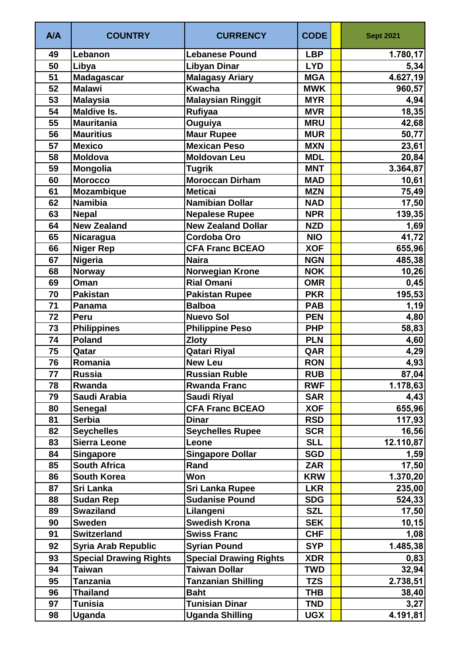| A/A | <b>COUNTRY</b>                | <b>CURRENCY</b>               | <b>CODE</b> | <b>Sept 2021</b> |
|-----|-------------------------------|-------------------------------|-------------|------------------|
| 49  | Lebanon                       | <b>Lebanese Pound</b>         | <b>LBP</b>  | 1.780, 17        |
| 50  | Libya                         | <b>Libyan Dinar</b>           | <b>LYD</b>  | 5,34             |
| 51  | <b>Madagascar</b>             | <b>Malagasy Ariary</b>        | <b>MGA</b>  | 4.627,19         |
| 52  | <b>Malawi</b>                 | <b>Kwacha</b>                 | <b>MWK</b>  | 960,57           |
| 53  | <b>Malaysia</b>               | Malaysian Ringgit             | <b>MYR</b>  | 4,94             |
| 54  | <b>Maldive Is.</b>            | <b>Rufiyaa</b>                | <b>MVR</b>  | 18,35            |
| 55  | <b>Mauritania</b>             | Ouguiya                       | <b>MRU</b>  | 42,68            |
| 56  | <b>Mauritius</b>              | <b>Maur Rupee</b>             | <b>MUR</b>  | 50,77            |
| 57  | <b>Mexico</b>                 | <b>Mexican Peso</b>           | <b>MXN</b>  | 23,61            |
| 58  | <b>Moldova</b>                | <b>Moldovan Leu</b>           | <b>MDL</b>  | 20,84            |
| 59  | Mongolia                      | <b>Tugrik</b>                 | <b>MNT</b>  | 3.364,87         |
| 60  | <b>Morocco</b>                | <b>Moroccan Dirham</b>        | <b>MAD</b>  | 10,61            |
| 61  | Mozambique                    | <b>Meticai</b>                | <b>MZN</b>  | 75,49            |
| 62  | <b>Namibia</b>                | <b>Namibian Dollar</b>        | <b>NAD</b>  | 17,50            |
| 63  | Nepal                         | <b>Nepalese Rupee</b>         | <b>NPR</b>  | 139,35           |
| 64  | <b>New Zealand</b>            | <b>New Zealand Dollar</b>     | <b>NZD</b>  | 1,69             |
| 65  | <b>Nicaragua</b>              | <b>Cordoba Oro</b>            | <b>NIO</b>  | 41,72            |
| 66  | <b>Niger Rep</b>              | <b>CFA Franc BCEAO</b>        | <b>XOF</b>  | 655,96           |
| 67  | Nigeria                       | <b>Naira</b>                  | <b>NGN</b>  | 485,38           |
| 68  | <b>Norway</b>                 | <b>Norwegian Krone</b>        | <b>NOK</b>  | 10,26            |
| 69  | Oman                          | <b>Rial Omani</b>             | <b>OMR</b>  | 0,45             |
| 70  | <b>Pakistan</b>               | <b>Pakistan Rupee</b>         | <b>PKR</b>  | 195,53           |
| 71  | Panama                        | <b>Balboa</b>                 | <b>PAB</b>  | 1,19             |
| 72  | <b>Peru</b>                   | <b>Nuevo Sol</b>              | <b>PEN</b>  | 4,80             |
| 73  | <b>Philippines</b>            | <b>Philippine Peso</b>        | <b>PHP</b>  | 58,83            |
| 74  | Poland                        | <b>Zloty</b>                  | <b>PLN</b>  | 4,60             |
| 75  | Qatar                         | <b>Qatari Riyal</b>           | QAR         | 4,29             |
| 76  | Romania                       | <b>New Leu</b>                | <b>RON</b>  | 4,93             |
| 77  | <b>Russia</b>                 | <b>Russian Ruble</b>          | <b>RUB</b>  | 87,04            |
| 78  | Rwanda                        | <b>Rwanda Franc</b>           | <b>RWF</b>  | 1.178,63         |
| 79  | Saudi Arabia                  | <b>Saudi Riyal</b>            | <b>SAR</b>  | 4,43             |
| 80  | Senegal                       | <b>CFA Franc BCEAO</b>        | <b>XOF</b>  | 655,96           |
| 81  | <b>Serbia</b>                 | <b>Dinar</b>                  | <b>RSD</b>  | 117,93           |
| 82  | <b>Seychelles</b>             | <b>Seychelles Rupee</b>       | <b>SCR</b>  | 16,56            |
| 83  | <b>Sierra Leone</b>           | Leone                         | <b>SLL</b>  | 12.110,87        |
| 84  | <b>Singapore</b>              | <b>Singapore Dollar</b>       | <b>SGD</b>  | 1,59             |
| 85  | <b>South Africa</b>           | Rand                          | <b>ZAR</b>  | 17,50            |
| 86  | <b>South Korea</b>            | Won                           | <b>KRW</b>  | 1.370, 20        |
| 87  | <b>Sri Lanka</b>              | <b>Sri Lanka Rupee</b>        | <b>LKR</b>  | 235,00           |
| 88  | <b>Sudan Rep</b>              | <b>Sudanise Pound</b>         | <b>SDG</b>  | 524,33           |
| 89  | <b>Swaziland</b>              | Lilangeni                     | <b>SZL</b>  | 17,50            |
| 90  | <b>Sweden</b>                 | <b>Swedish Krona</b>          | <b>SEK</b>  | 10, 15           |
| 91  | <b>Switzerland</b>            | <b>Swiss Franc</b>            | <b>CHF</b>  | 1,08             |
| 92  | <b>Syria Arab Republic</b>    | <b>Syrian Pound</b>           | <b>SYP</b>  | 1.485,38         |
| 93  | <b>Special Drawing Rights</b> | <b>Special Drawing Rights</b> | <b>XDR</b>  | 0,83             |
| 94  | <b>Taiwan</b>                 | <b>Taiwan Dollar</b>          | <b>TWD</b>  | 32,94            |
| 95  | <b>Tanzania</b>               | <b>Tanzanian Shilling</b>     | <b>TZS</b>  | 2.738,51         |
| 96  | <b>Thailand</b>               | <b>Baht</b>                   | <b>THB</b>  | 38,40            |
| 97  | <b>Tunisia</b>                | <b>Tunisian Dinar</b>         | <b>TND</b>  | 3,27             |
| 98  | Uganda                        | <b>Uganda Shilling</b>        | <b>UGX</b>  | 4.191,81         |